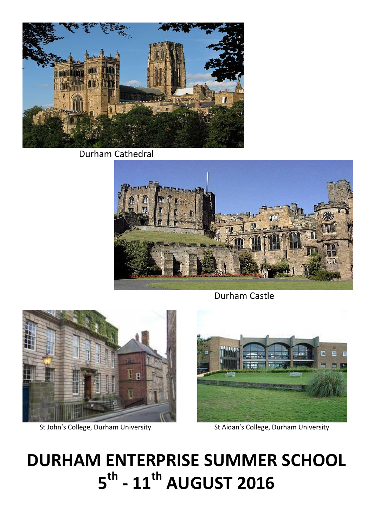**Durham Cathedral** 



**Durham Castle** 



St John's College, Durham University



St Aidan's College, Durham University

# **DURHAM ENTERPRISE SUMMER SCHOOL** 5<sup>th</sup> - 11<sup>th</sup> AUGUST 2016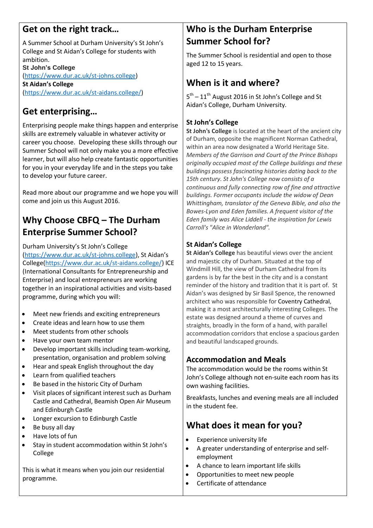# **Get on the right track…**

A Summer School at Durham University's St John's College and St Aidan's College for students with ambition. **St John's College** [\(https://www.dur.ac.uk/st-johns.college\)](https://www.dur.ac.uk/st-johns.college) **St Aidan's College** [\(https://www.dur.ac.uk/st-aidans.college/\)](https://www.dur.ac.uk/st-aidans.college/)

# **Get enterprising…**

Enterprising people make things happen and enterprise skills are extremely valuable in whatever activity or career you choose. Developing these skills through our Summer School will not only make you a more effective learner, but will also help create fantastic opportunities for you in your everyday life and in the steps you take to develop your future career.

Read more about our programme and we hope you will come and join us this August 2016.

# **Why Choose CBFQ – The Durham Enterprise Summer School?**

Durham University's St John's College

[\(https://www.dur.ac.uk/st-johns.college\)](https://www.dur.ac.uk/st-johns.college), St Aidan's College[\(https://www.dur.ac.uk/st-aidans.college/\)](https://www.dur.ac.uk/st-aidans.college/) ICE (International Consultants for Entrepreneurship and Enterprise) and local entrepreneurs are working together in an inspirational activities and visits-based programme, during which you will:

- Meet new friends and exciting entrepreneurs
- Create ideas and learn how to use them
- Meet students from other schools
- Have your own team mentor
- Develop important skills including team-working, presentation, organisation and problem solving
- Hear and speak English throughout the day
- Learn from qualified teachers
- Be based in the historic City of Durham
- Visit places of significant interest such as Durham Castle and Cathedral, Beamish Open Air Museum and Edinburgh Castle
- Longer excursion to Edinburgh Castle
- $\bullet$  Be busy all day
- Have lots of fun
- Stay in student accommodation within St John's College

This is what it means when you join our residential programme.

## **Who is the Durham Enterprise Summer School for?**

The Summer School is residential and open to those aged 12 to 15 years.

# **When is it and where?**

5<sup>th</sup> – 11<sup>th</sup> August 2016 in St John's College and St Aidan's College, Durham University.

#### **St John's College**

**St John's College** is located at the heart of the ancient city of Durham, opposite the magnificent Norman Cathedral, within an area now designated a World Heritage Site. *Members of the Garrison and Court of the Prince Bishops originally occupied most of the College buildings and these buildings possess fascinating histories dating back to the 15th century. St John's College now consists of a continuous and fully connecting row of fine and attractive buildings. Former occupants include the widow of Dean Whittingham, translator of the Geneva Bible, and also the Bowes-Lyon and Eden families. A frequent visitor of the Eden family was Alice Liddell - the inspiration for Lewis Carroll's "Alice in Wonderland".*

#### **St Aidan's College**

**St Aidan's College** has beautiful views over the ancient and majestic city of Durham. Situated at the top of Windmill Hill, the view of Durham Cathedral from its gardens is by far the best in the city and is a constant reminder of the history and tradition that it is part of. St Aidan's was designed by Sir Basil Spence, the renowned architect who was responsible for Coventry Cathedral, making it a most architecturally interesting Colleges. The estate was designed around a theme of curves and straights, broadly in the form of a hand, with parallel accommodation corridors that enclose a spacious garden and beautiful landscaped grounds.

#### **Accommodation and Meals**

The accommodation would be the rooms within St John's College although not en-suite each room has its own washing facilities.

Breakfasts, lunches and evening meals are all included in the student fee.

# **What does it mean for you?**

- Experience university life
- A greater understanding of enterprise and selfemployment
- A chance to learn important life skills
- Opportunities to meet new people
- Certificate of attendance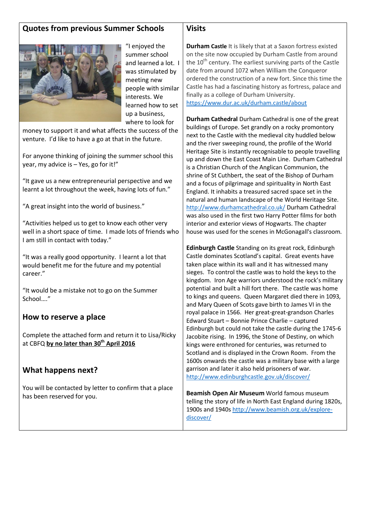#### **Quotes from previous Summer Schools**



"I enjoyed the summer school and learned a lot. I was stimulated by meeting new people with similar interests. We learned how to set up a business, where to look for

money to support it and what affects the success of the venture. I'd like to have a go at that in the future.

For anyone thinking of joining the summer school this year, my advice is – Yes, go for it!"

"It gave us a new entrepreneurial perspective and we learnt a lot throughout the week, having lots of fun."

"A great insight into the world of business."

"Activities helped us to get to know each other very well in a short space of time. I made lots of friends who I am still in contact with today."

"It was a really good opportunity. I learnt a lot that would benefit me for the future and my potential career."

"It would be a mistake not to go on the Summer School…."

#### **How to reserve a place**

Complete the attached form and return it to Lisa/Ricky at CBFQ **by no later than 30th April 2016**

#### **What happens next?**

You will be contacted by letter to confirm that a place has been reserved for you.

**Durham Castle** It is likely that at a Saxon fortress existed on the site now occupied by Durham Castle from around the  $10<sup>th</sup>$  century. The earliest surviving parts of the Castle date from around 1072 when William the Conqueror ordered the construction of a new fort. Since this time the Castle has had a fascinating history as fortress, palace and finally as a college of Durham University. <https://www.dur.ac.uk/durham.castle/about>

**Durham Cathedral** Durham Cathedral is one of the great buildings of Europe. Set grandly on a rocky promontory next to the Castle with the medieval city huddled below and the river sweeping round, the profile of the World Heritage Site is instantly recognisable to people travelling up and down the East Coast Main Line. Durham Cathedral is a Christian Church of the Anglican Communion, the shrine of St Cuthbert, the seat of the Bishop of Durham and a focus of pilgrimage and spirituality in North East England. It inhabits a treasured sacred space set in the natural and human landscape of the World Heritage Site. <http://www.durhamcathedral.co.uk/> Durham Cathedral was also used in the first two Harry Potter films for both interior and exterior views of Hogwarts. The chapter house was used for the scenes in McGonagall's classroom.

**Edinburgh Castle** Standing on its great rock, Edinburgh Castle dominates Scotland's capital. Great events have taken place within its wall and it has witnessed many sieges. To control the castle was to hold the keys to the kingdom. Iron Age warriors understood the rock's military potential and built a hill fort there. The castle was home to kings and queens. Queen Margaret died there in 1093, and Mary Queen of Scots gave birth to James VI in the royal palace in 1566. Her great-great-grandson Charles Edward Stuart – Bonnie Prince Charlie – captured Edinburgh but could not take the castle during the 1745-6 Jacobite rising. In 1996, the Stone of Destiny, on which kings were enthroned for centuries, was returned to Scotland and is displayed in the Crown Room. From the 1600s onwards the castle was a military base with a large garrison and later it also held prisoners of war. <http://www.edinburghcastle.gov.uk/discover/>

**Beamish Open Air Museum** World famous museum telling the story of life in North East England during 1820s, 1900s and 1940s [http://www.beamish.org.uk/explore](http://www.beamish.org.uk/explore-discover/)[discover/](http://www.beamish.org.uk/explore-discover/)

#### **Visits**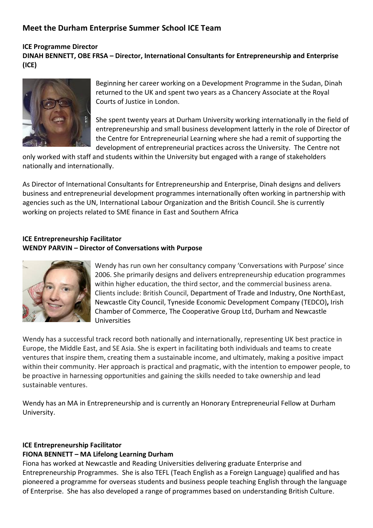### **Meet the Durham Enterprise Summer School ICE Team**

#### **ICE Programme Director DINAH BENNETT, OBE FRSA – Director, International Consultants for Entrepreneurship and Enterprise (ICE)**



Beginning her career working on a Development Programme in the Sudan, Dinah returned to the UK and spent two years as a Chancery Associate at the Royal Courts of Justice in London.

She spent twenty years at Durham University working internationally in the field of entrepreneurship and small business development latterly in the role of Director of the Centre for Entrepreneurial Learning where she had a remit of supporting the development of entrepreneurial practices across the University. The Centre not

only worked with staff and students within the University but engaged with a range of stakeholders nationally and internationally.

As Director of International Consultants for Entrepreneurship and Enterprise, Dinah designs and delivers business and entrepreneurial development programmes internationally often working in partnership with agencies such as the UN, International Labour Organization and the British Council. She is currently working on projects related to SME finance in East and Southern Africa

#### **ICE Entrepreneurship Facilitator WENDY PARVIN – Director of Conversations with Purpose**



Wendy has run own her consultancy company 'Conversations with Purpose' since 2006. She primarily designs and delivers entrepreneurship education programmes within higher education, the third sector, and the commercial business arena. Clients include: British Council, Department of Trade and Industry, One NorthEast, Newcastle City Council, Tyneside Economic Development Company (TEDCO)**,** Irish Chamber of Commerce, The Cooperative Group Ltd, Durham and Newcastle Universities

Wendy has a successful track record both nationally and internationally, representing UK best practice in Europe, the Middle East, and SE Asia. She is expert in facilitating both individuals and teams to create ventures that inspire them, creating them a sustainable income, and ultimately, making a positive impact within their community. Her approach is practical and pragmatic, with the intention to empower people, to be proactive in harnessing opportunities and gaining the skills needed to take ownership and lead sustainable ventures.

Wendy has an MA in Entrepreneurship and is currently an Honorary Entrepreneurial Fellow at Durham University.

#### **ICE Entrepreneurship Facilitator**

#### **FIONA BENNETT – MA Lifelong Learning Durham**

Fiona has worked at Newcastle and Reading Universities delivering graduate Enterprise and Entrepreneurship Programmes. She is also TEFL (Teach English as a Foreign Language) qualified and has pioneered a programme for overseas students and business people teaching English through the language of Enterprise. She has also developed a range of programmes based on understanding British Culture.